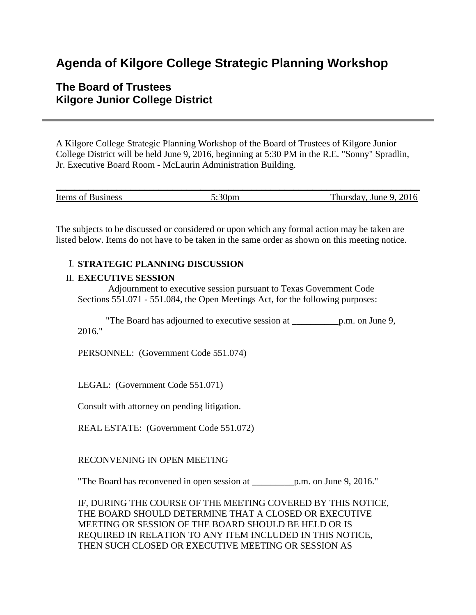# **Agenda of Kilgore College Strategic Planning Workshop**

# **The Board of Trustees Kilgore Junior College District**

A Kilgore College Strategic Planning Workshop of the Board of Trustees of Kilgore Junior College District will be held June 9, 2016, beginning at 5:30 PM in the R.E. "Sonny" Spradlin, Jr. Executive Board Room - McLaurin Administration Building.

| Items of | Thursday.<br>201<br>Tune 9 |
|----------|----------------------------|

The subjects to be discussed or considered or upon which any formal action may be taken are listed below. Items do not have to be taken in the same order as shown on this meeting notice.

## I. **STRATEGIC PLANNING DISCUSSION**

### II. **EXECUTIVE SESSION**

 Adjournment to executive session pursuant to Texas Government Code Sections 551.071 - 551.084, the Open Meetings Act, for the following purposes:

 "The Board has adjourned to executive session at \_\_\_\_\_\_\_\_\_\_p.m. on June 9, 2016."

PERSONNEL: (Government Code 551.074)

LEGAL: (Government Code 551.071)

Consult with attorney on pending litigation.

REAL ESTATE: (Government Code 551.072)

RECONVENING IN OPEN MEETING

"The Board has reconvened in open session at \_\_\_\_\_\_\_\_\_p.m. on June 9, 2016."

IF, DURING THE COURSE OF THE MEETING COVERED BY THIS NOTICE, THE BOARD SHOULD DETERMINE THAT A CLOSED OR EXECUTIVE MEETING OR SESSION OF THE BOARD SHOULD BE HELD OR IS REQUIRED IN RELATION TO ANY ITEM INCLUDED IN THIS NOTICE, THEN SUCH CLOSED OR EXECUTIVE MEETING OR SESSION AS